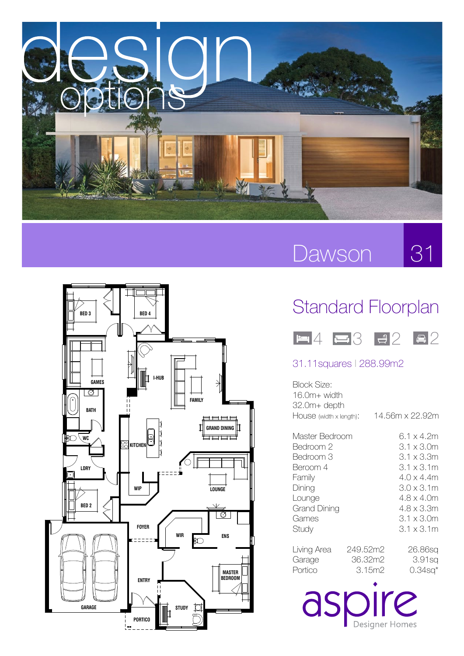

# Dawson

31



WITH MAYA FAÇADE

## Standard Floorplan



### 31.11squares l 288.99m2

| Block Size:<br>16.0m+ width<br>32.0m+ depth<br>HOUSE (width x length):                                               |                               | 14.56m x 22.92m                                                                                                                          |
|----------------------------------------------------------------------------------------------------------------------|-------------------------------|------------------------------------------------------------------------------------------------------------------------------------------|
| Master Bedroom<br>Bedroom 2<br>Bedroom 3<br>Beroom 4<br>Family<br>Dining<br>Lounge<br>Grand Dining<br>Games<br>Study |                               | 6.1 x 4.2m<br>3.1 x 3.0m<br>3.1 x 3.3m<br>3.1 x 3.1m<br>4.0 x 4.4m<br>3.0 x 3.1m<br>4.8 x 4.0m<br>4.8 x 3.3m<br>3.1 x 3.0m<br>3.1 x 3.1m |
| Living Area<br>Garage<br>Portico                                                                                     | 249.52m2<br>36.32m2<br>3.15m2 | 26.86sq<br>3.91sa<br>0.34sq*                                                                                                             |

aspire